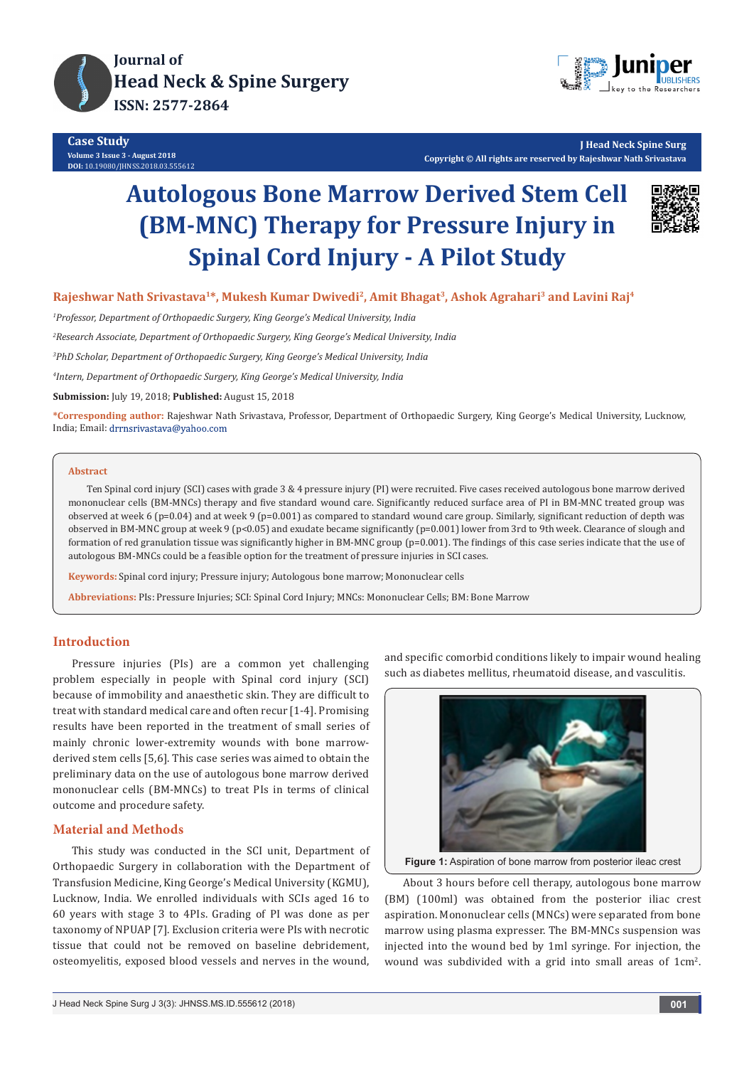



**J Head Neck Spine Surg Copyright © All rights are reserved by Rajeshwar Nath Srivastava**

# **Autologous Bone Marrow Derived Stem Cell (BM-MNC) Therapy for Pressure Injury in Spinal Cord Injury - A Pilot Study**



**Rajeshwar Nath Srivastava1\*, Mukesh Kumar Dwivedi2, Amit Bhagat3, Ashok Agrahari3 and Lavini Raj4**

*1 Professor, Department of Orthopaedic Surgery, King George's Medical University, India*

*2 Research Associate, Department of Orthopaedic Surgery, King George's Medical University, India*

*3 PhD Scholar, Department of Orthopaedic Surgery, King George's Medical University, India*

*4 Intern, Department of Orthopaedic Surgery, King George's Medical University, India*

**Submission:** July 19, 2018; **Published:** August 15, 2018

**\*Corresponding author:** Rajeshwar Nath Srivastava, Professor, Department of Orthopaedic Surgery, King George's Medical University, Lucknow, India; Email: drrnsrivastava@yahoo.com

#### **Abstract**

Ten Spinal cord injury (SCI) cases with grade 3 & 4 pressure injury (PI) were recruited. Five cases received autologous bone marrow derived mononuclear cells (BM-MNCs) therapy and five standard wound care. Significantly reduced surface area of PI in BM-MNC treated group was observed at week 6 (p=0.04) and at week 9 (p=0.001) as compared to standard wound care group. Similarly, significant reduction of depth was observed in BM-MNC group at week 9 (p<0.05) and exudate became significantly (p=0.001) lower from 3rd to 9th week. Clearance of slough and formation of red granulation tissue was significantly higher in BM-MNC group (p=0.001). The findings of this case series indicate that the use of autologous BM-MNCs could be a feasible option for the treatment of pressure injuries in SCI cases.

**Keywords:** Spinal cord injury; Pressure injury; Autologous bone marrow; Mononuclear cells

**Abbreviations:** PIs: Pressure Injuries; SCI: Spinal Cord Injury; MNCs: Mononuclear Cells; BM: Bone Marrow

## **Introduction**

Pressure injuries (PIs) are a common yet challenging problem especially in people with Spinal cord injury (SCI) because of immobility and anaesthetic skin. They are difficult to treat with standard medical care and often recur [1-4]. Promising results have been reported in the treatment of small series of mainly chronic lower-extremity wounds with bone marrowderived stem cells [5,6]. This case series was aimed to obtain the preliminary data on the use of autologous bone marrow derived mononuclear cells (BM-MNCs) to treat PIs in terms of clinical outcome and procedure safety.

# **Material and Methods**

This study was conducted in the SCI unit, Department of Orthopaedic Surgery in collaboration with the Department of Transfusion Medicine, King George's Medical University (KGMU), Lucknow, India. We enrolled individuals with SCIs aged 16 to 60 years with stage 3 to 4PIs. Grading of PI was done as per taxonomy of NPUAP [7]. Exclusion criteria were PIs with necrotic tissue that could not be removed on baseline debridement, osteomyelitis, exposed blood vessels and nerves in the wound,

and specific comorbid conditions likely to impair wound healing such as diabetes mellitus, rheumatoid disease, and vasculitis.



**Figure 1:** Aspiration of bone marrow from posterior ileac crest

About 3 hours before cell therapy, autologous bone marrow (BM) (100ml) was obtained from the posterior iliac crest aspiration. Mononuclear cells (MNCs) were separated from bone marrow using plasma expresser. The BM-MNCs suspension was injected into the wound bed by 1ml syringe. For injection, the wound was subdivided with a grid into small areas of  $1 \text{cm}^2$ .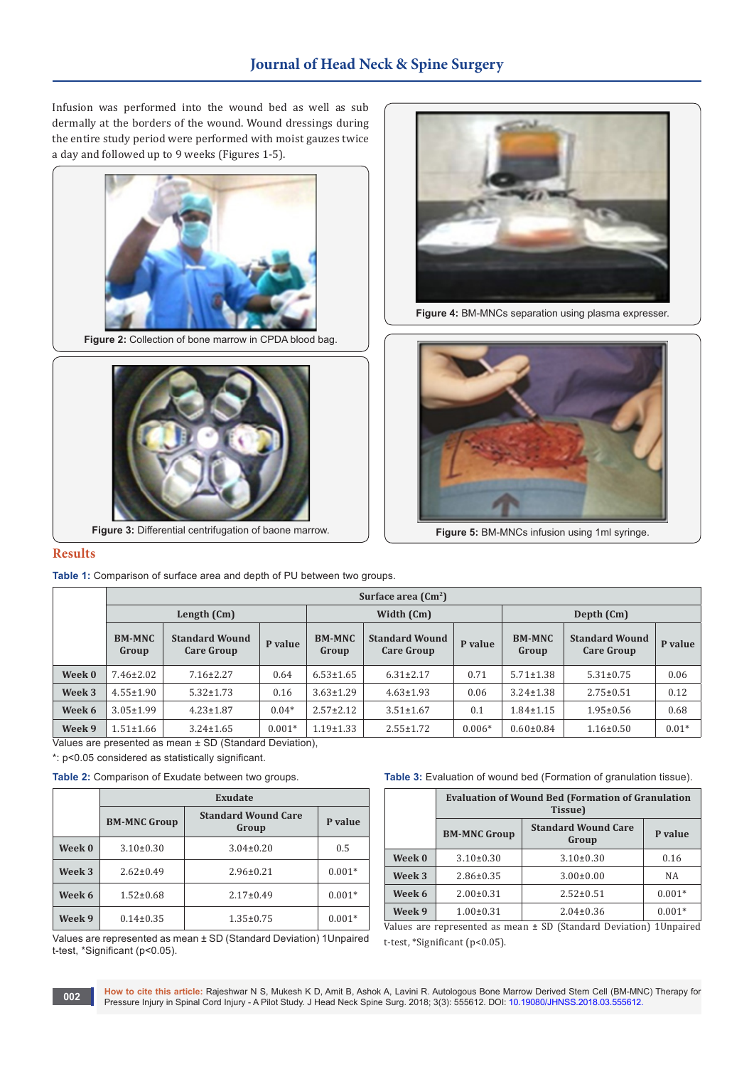# **Journal of Head Neck & Spine Surgery**

Infusion was performed into the wound bed as well as sub dermally at the borders of the wound. Wound dressings during the entire study period were performed with moist gauzes twice a day and followed up to 9 weeks (Figures 1-5).



Figure 2: Collection of bone marrow in CPDA blood bag.



**Figure 3:** Differential centrifugation of baone marrow.



**Figure 4:** BM-MNCs separation using plasma expresser.



**Figure 5:** BM-MNCs infusion using 1ml syringe.

#### **Results**

**Table 1:** Comparison of surface area and depth of PU between two groups.

|        | Surface area $\text{ (Cm}^2\text{)}$ |                                            |          |                        |                                            |          |                        |                                            |         |  |  |
|--------|--------------------------------------|--------------------------------------------|----------|------------------------|--------------------------------------------|----------|------------------------|--------------------------------------------|---------|--|--|
|        | Length (Cm)                          |                                            |          | Width (Cm)             |                                            |          | Depth (Cm)             |                                            |         |  |  |
|        | <b>BM-MNC</b><br>Group               | <b>Standard Wound</b><br><b>Care Group</b> | P value  | <b>BM-MNC</b><br>Group | <b>Standard Wound</b><br><b>Care Group</b> | P value  | <b>BM-MNC</b><br>Group | <b>Standard Wound</b><br><b>Care Group</b> | P value |  |  |
| Week 0 | $7.46 \pm 2.02$                      | $7.16 \pm 2.27$                            | 0.64     | $6.53 \pm 1.65$        | $6.31 \pm 2.17$                            | 0.71     | $5.71 \pm 1.38$        | $5.31 \pm 0.75$                            | 0.06    |  |  |
| Week 3 | $4.55 \pm 1.90$                      | $5.32 \pm 1.73$                            | 0.16     | $3.63 \pm 1.29$        | $4.63 \pm 1.93$                            | 0.06     | $3.24 \pm 1.38$        | $2.75 \pm 0.51$                            | 0.12    |  |  |
| Week 6 | $3.05 \pm 1.99$                      | $4.23 \pm 1.87$                            | $0.04*$  | $2.57 \pm 2.12$        | $3.51 \pm 1.67$                            | 0.1      | $1.84 \pm 1.15$        | $1.95 \pm 0.56$                            | 0.68    |  |  |
| Week 9 | $1.51 \pm 1.66$                      | $3.24 \pm 1.65$                            | $0.001*$ | $1.19 \pm 1.33$        | $2.55 \pm 1.72$                            | $0.006*$ | $0.60 \pm 0.84$        | $1.16 \pm 0.50$                            | $0.01*$ |  |  |

Values are presented as mean ± SD (Standard Deviation),

\*: p<0.05 considered as statistically significant.

**Table 2:** Comparison of Exudate between two groups.

|        | Exudate             |                                     |          |  |  |  |  |  |
|--------|---------------------|-------------------------------------|----------|--|--|--|--|--|
|        | <b>BM-MNC Group</b> | <b>Standard Wound Care</b><br>Group | P value  |  |  |  |  |  |
| Week 0 | $3.10\pm0.30$       | $3.04 \pm 0.20$                     | 0.5      |  |  |  |  |  |
| Week 3 | $2.62 \pm 0.49$     | $2.96 \pm 0.21$                     | $0.001*$ |  |  |  |  |  |
| Week 6 | $1.52 \pm 0.68$     | $2.17 \pm 0.49$                     | $0.001*$ |  |  |  |  |  |
| Week 9 | $0.14 \pm 0.35$     | $1.35 \pm 0.75$                     | $0.001*$ |  |  |  |  |  |

Values are represented as mean ± SD (Standard Deviation) 1Unpaired t-test, \*Significant (p<0.05).

Table 3: Evaluation of wound bed (Formation of granulation tissue).

|        | <b>Evaluation of Wound Bed (Formation of Granulation</b><br>Tissue) |                                     |          |  |  |  |  |
|--------|---------------------------------------------------------------------|-------------------------------------|----------|--|--|--|--|
|        | <b>BM-MNC Group</b>                                                 | <b>Standard Wound Care</b><br>Group | P value  |  |  |  |  |
| Week 0 | $3.10 \pm 0.30$                                                     | $3.10\pm0.30$                       | 0.16     |  |  |  |  |
| Week 3 | $2.86 \pm 0.35$                                                     | $3.00 \pm 0.00$                     | NA       |  |  |  |  |
| Week 6 | $2.00 \pm 0.31$                                                     | $2.52 \pm 0.51$                     | $0.001*$ |  |  |  |  |
| Week 9 | $1.00 \pm 0.31$                                                     | $2.04 \pm 0.36$                     | $0.001*$ |  |  |  |  |

Values are represented as mean ± SD (Standard Deviation) 1Unpaired t-test, \*Significant (p<0.05).

**How to cite this article:** Rajeshwar N S, Mukesh K D, Amit B, Ashok A, Lavini R. Autologous Bone Marrow Derived Stem Cell (BM-MNC) Therapy for Pressure Injury in Spinal Cord Injury - A Pilot Study. J Head Neck Spine Surg. 2018; 3(3): 555612. DOI: [10.19080/JHNSS.2018.03.555612](http://dx.doi.org/10.19080/jhnss.2018.03.555612).